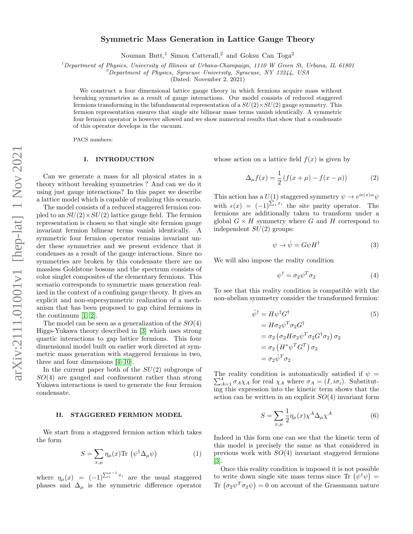# Symmetric Mass Generation in Lattice Gauge Theory

Nouman Butt,<sup>1</sup> Simon Catterall,<sup>2</sup> and Goksu Can Toga<sup>2</sup>

<sup>1</sup>Department of Physics, University of Illinois at Urbana-Champaign, 1110 W Green St, Urbana, IL 61801

<sup>2</sup>Department of Physics, Syracuse University, Syracuse, NY 13244, USA

(Dated: November 2, 2021)

We construct a four dimensional lattice gauge theory in which fermions acquire mass without breaking symmetries as a result of gauge interactions. Our model consists of reduced staggered fermions transforming in the bifundamental representation of a  $SU(2) \times SU(2)$  gauge symmetry. This fermion representation ensures that single site bilinear mass terms vanish identically. A symmetric four fermion operator is however allowed and we show numerical results that show that a condensate of this operator develops in the vacuum.

PACS numbers:

### I. INTRODUCTION

Can we generate a mass for all physical states in a theory without breaking symmetries ? And can we do it using just gauge interactions? In this paper we describe a lattice model which is capable of realizing this scenario.

The model consists of a reduced staggered fermion coupled to an  $SU(2) \times SU(2)$  lattice gauge field. The fermion representation is chosen so that single site fermion gauge invariant fermion bilinear terms vanish identically. A symmetric four fermion operator remains invariant under these symmetries and we present evidence that it condenses as a result of the gauge interactions. Since no symmetries are broken by this condensate there are no massless Goldstone bosons and the spectrum consists of color singlet composites of the elementary fermions. This scenario corresponds to symmetric mass generation realized in the context of a confining gauge theory. It gives an explicit and non-supersymmetric realization of a mechanism that has been proposed to gap chiral fermions in the continuum [\[1,](#page-4-0) [2\]](#page-4-1).

The model can be seen as a generalization of the  $SO(4)$ Higgs-Yukawa theory described in [\[3\]](#page-4-2) which uses strong quartic interactions to gap lattice fermions. This four dimensional model built on earlier work directed at symmetric mass generation with staggered fermions in two, three and four dimensions [\[4](#page-4-3)[–10\]](#page-4-4).

In the current paper both of the  $SU(2)$  subgroups of  $SO(4)$  are gauged and confinement rather than strong Yukawa interactions is used to generate the four fermion condensate.

#### II. STAGGERED FERMION MODEL

We start from a staggered fermion action which takes the form

<span id="page-0-0"></span>
$$
S = \sum_{x,\mu} \eta_{\mu}(x) \text{Tr} \left( \psi^{\dagger} \Delta_{\mu} \psi \right)
$$
 (1)

where  $\eta_{\mu}(x) = (-1)^{\sum_{i=1}^{\mu-1} x_i}$  are the usual staggered phases and  $\Delta_{\mu}$  is the symmetric difference operator whose action on a lattice field  $f(x)$  is given by

$$
\Delta_{\mu} f(x) = \frac{1}{2} \left( f(x + \mu) - f(x - \mu) \right) \tag{2}
$$

This action has a  $U(1)$  staggered symmetry  $\psi \to e^{i\epsilon(x)\alpha}\psi$ with  $\epsilon(x) = (-1)^{\sum_i x_i}$  the site parity operator. The fermions are additionally taken to transform under a global  $G \times H$  symmetry where G and H correspond to independent  $SU(2)$  groups:

$$
\psi \to \hat{\psi} = G\psi H^{\dagger} \tag{3}
$$

We will also impose the reality condition

$$
\psi^{\dagger} = \sigma_2 \psi^T \sigma_2 \tag{4}
$$

To see that this reality condition is compatible with the non-abelian symmetry consider the transformed fermion:

$$
\hat{\psi}^{\dagger} = H \psi^{\dagger} G^{\dagger} \tag{5}
$$
\n
$$
= H \sigma_2 \psi^T \sigma_2 G^{\dagger}
$$
\n
$$
= \sigma_2 \left( \sigma_2 H \sigma_2 \psi^T \sigma_2 G^{\dagger} \sigma_2 \right) \sigma_2
$$
\n
$$
= \sigma_2 \left( H^* \psi^T G^T \right) \sigma_2
$$
\n
$$
= \sigma_2 \hat{\psi}^T \sigma_2
$$

The reality condition is automatically satisfied if  $\psi =$  $\sum_{A=1}^{4} \sigma_A \chi_A$  for real  $\chi_A$  where  $\sigma_A = (I, i\sigma_i)$ . Substituting this expression into the kinetic term shows that the action can be written in an explicit  $SO(4)$  invariant form

$$
S = \sum_{x,\mu} \frac{1}{2} \eta_{\mu}(x) \chi^A \Delta_{\mu} \chi^A \tag{6}
$$

Indeed in this form one can see that the kinetic term of this model is precisely the same as that considered in previous work with  $SO(4)$  invariant staggered fermions [\[3\]](#page-4-2).

Once this reality condition is imposed it is not possible to write down single site mass terms since Tr  $(\psi^{\dagger} \psi)$  = Tr  $(\sigma_2 \psi^T \sigma_2 \psi) = 0$  on account of the Grassmann nature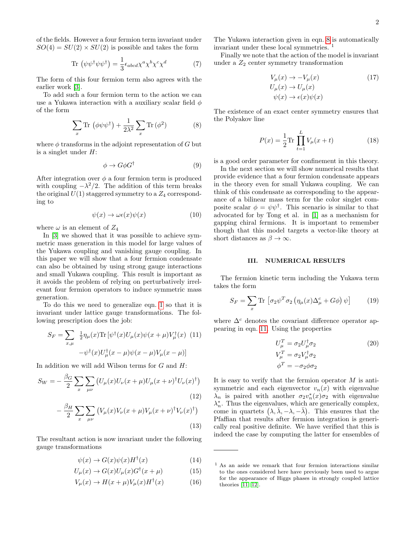of the fields. However a four fermion term invariant under  $SO(4) = SU(2) \times SU(2)$  is possible and takes the form

$$
\text{Tr}\,\left(\psi\psi^{\dagger}\psi\psi^{\dagger}\right) = \frac{1}{3}\epsilon_{abcd}\chi^a\chi^b\chi^c\chi^d\tag{7}
$$

The form of this four fermion term also agrees with the earlier work [\[3\]](#page-4-2).

To add such a four fermion term to the action we can use a Yukawa interaction with a auxiliary scalar field  $\phi$ of the form

<span id="page-1-0"></span>
$$
\sum_{x} \text{Tr} \left( \phi \psi \psi^{\dagger} \right) + \frac{1}{2\lambda^{2}} \sum_{x} \text{Tr} \left( \phi^{2} \right) \tag{8}
$$

where  $\phi$  transforms in the adjoint representation of G but is a singlet under  $H$ :

$$
\phi \to G \phi G^{\dagger} \tag{9}
$$

After integration over  $\phi$  a four fermion term is produced with coupling  $-\lambda^2/2$ . The addition of this term breaks the original  $U(1)$  staggered symmetry to a  $Z_4$  corresponding to

$$
\psi(x) \to \omega \epsilon(x) \psi(x) \tag{10}
$$

where  $\omega$  is an element of  $Z_4$ 

In [\[3\]](#page-4-2) we showed that it was possible to achieve symmetric mass generation in this model for large values of the Yukawa coupling and vanishing gauge coupling. In this paper we will show that a four fermion condensate can also be obtained by using strong gauge interactions and small Yukawa coupling. This result is important as it avoids the problem of relying on perturbatively irrelevant four fermion operators to induce symmetric mass generation.

To do this we need to generalize eqn. [1](#page-0-0) so that it is invariant under lattice gauge transformations. The following prescription does the job:

<span id="page-1-1"></span>
$$
S_F = \sum_{x,\mu} \frac{1}{2} \eta_{\mu}(x) \text{Tr} \left[ \psi^{\dagger}(x) U_{\mu}(x) \psi(x+\mu) V_{\mu}^{\dagger}(x) \right] (11)
$$

$$
-\psi^{\dagger}(x) U_{\mu}^{\dagger}(x-\mu) \psi(x-\mu) V_{\mu}(x-\mu)]
$$

In addition we will add Wilson terms for  $G$  and  $H$ :

$$
S_W = -\frac{\beta_G}{2} \sum_x \sum_{\mu\nu} \left( U_\mu(x) U_\nu(x+\mu) U_\mu(x+\nu)^\dagger U_\nu(x)^\dagger \right)
$$
\n(12)

$$
-\frac{\beta_H}{2} \sum_x \sum_{\mu\nu} \left( V_\mu(x) V_\nu(x+\mu) V_\mu(x+\nu)^\dagger V_\nu(x)^\dagger \right) \tag{13}
$$

The resultant action is now invariant under the following gauge transformations

$$
\psi(x) \to G(x)\psi(x)H^{\dagger}(x) \tag{14}
$$

$$
U_{\mu}(x) \to G(x)U_{\mu}(x)G^{\dagger}(x+\mu) \tag{15}
$$

$$
V_{\mu}(x) \to H(x+\mu)V_{\mu}(x)H^{\dagger}(x) \tag{16}
$$

The Yukawa interaction given in eqn. [8](#page-1-0) is automatically invariant under these local symmetries. <sup>1</sup>

Finally we note that the action of the model is invariant under a  $Z_2$  center symmetry transformation

$$
V_{\mu}(x) \to -V_{\mu}(x)
$$
  
\n
$$
U_{\mu}(x) \to U_{\mu}(x)
$$
  
\n
$$
\psi(x) \to \epsilon(x)\psi(x)
$$
\n(17)

The existence of an exact center symmetry ensures that the Polyakov line

$$
P(x) = \frac{1}{2} \text{Tr} \prod_{t=1}^{L} V_{\mu}(x+t)
$$
 (18)

is a good order parameter for confinement in this theory.

In the next section we will show numerical results that provide evidence that a four fermion condensate appears in the theory even for small Yukawa coupling. We can think of this condensate as corresponding to the appearance of a bilinear mass term for the color singlet composite scalar  $\phi = \psi \psi^{\dagger}$ . This scenario is similar to that advocated for by Tong et al. in [\[1\]](#page-4-0) as a mechanism for gapping chiral fermions. It is important to remember though that this model targets a vector-like theory at short distances as  $\beta \to \infty$ .

#### III. NUMERICAL RESULTS

The fermion kinetic term including the Yukawa term takes the form

$$
S_F = \sum_x \text{Tr} \left[ \sigma_2 \psi^T \sigma_2 \left( \eta_\mu(x) \Delta_\mu^c + G \phi \right) \psi \right] \tag{19}
$$

where  $\Delta^c$  denotes the covariant difference operator appearing in eqn. [11.](#page-1-1) Using the properties

$$
U_{\mu}^{T} = \sigma_2 U_{\mu}^{\dagger} \sigma_2
$$
  
\n
$$
V_{\mu}^{T} = \sigma_2 V_{\mu}^{\dagger} \sigma_2
$$
  
\n
$$
\phi^{T} = -\sigma_2 \phi \sigma_2
$$
\n(20)

It is easy to verify that the fermion operator  $M$  is antisymmetric and each eigenvector  $v_n(x)$  with eigenvalue  $\lambda_n$  is paired with another  $\sigma_2 v_n^*(x) \sigma_2$  with eigenvalue  $\lambda_n^*$ . Thus the eigenvalues, which are generically complex, come in quartets  $(\lambda, \bar{\lambda}, -\lambda, -\bar{\lambda})$ . This ensures that the Pfaffian that results after fermion integration is generically real positive definite. We have verified that this is indeed the case by computing the latter for ensembles of

<sup>1</sup> As an aside we remark that four fermion interactions similar to the ones considered here have previously been used to argue for the appearance of Higgs phases in strongly coupled lattice theories [\[11,](#page-4-5) [12\]](#page-4-6).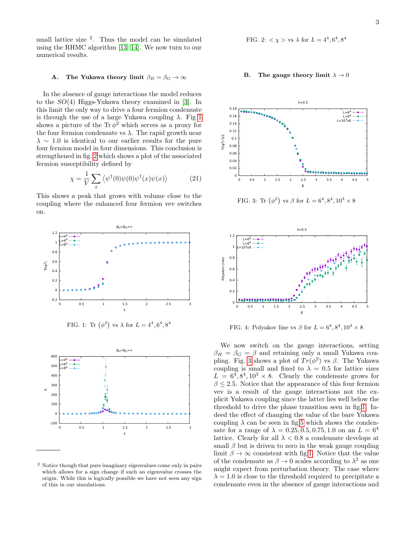small lattice size <sup>2</sup> . Thus the model can be simulated using the RHMC algorithm [\[13,](#page-4-7) [14\]](#page-4-8). We now turn to our numerical results.

## A. The Yukawa theory limit  $\beta_H = \beta_G \rightarrow \infty$

In the absence of gauge interactions the model reduces to the SO(4) Higgs-Yukawa theory examined in [\[3\]](#page-4-2). In this limit the only way to drive a four fermion condensate is through the use of a large Yukawa coupling  $\lambda$ . Fig [1](#page-2-0) shows a picture of the  $\text{Tr}\,\phi^2$  which serves as a proxy for the four fermion condensate vs  $\lambda$ . The rapid growth near  $\lambda \sim 1.0$  is identical to our earlier results for the pure four fermion model in four dimensions. This conclusion is strengthened in fig. [2](#page-2-1) which shows a plot of the associated fermion susceptibility defined by

$$
\chi = \frac{1}{V} \sum_{x} \langle \psi^{\dagger}(0)\psi(0)\psi^{\dagger}(x)\psi(x) \rangle \tag{21}
$$

This shows a peak that grows with volume close to the coupling where the enhanced four fermion vev switches on.



<span id="page-2-0"></span>FIG. 1: Tr  $(\phi^2)$  vs  $\lambda$  for  $L = 4^4, 6^4, 8^4$ 



<sup>2</sup> Notice though that pure imaginary eigenvalues come only in pairs which allows for a sign change if such an eigenvalue crosses the origin. While this is logically possible we have not seen any sign of this in our simulations.

<span id="page-2-1"></span>FIG. 2: 
$$
\langle \chi \rangle
$$
 vs  $\lambda$  for  $L = 4^4, 6^4, 8^4$ 

## B. The gauge theory limit  $\lambda \to 0$



<span id="page-2-2"></span>FIG. 3: Tr  $(\phi^2)$  vs  $\beta$  for  $L = 6^4, 8^4, 10^3 \times 8$ 



<span id="page-2-3"></span>FIG. 4: Polyakov line vs  $\beta$  for  $L = 6^4, 8^4, 10^3 \times 8$ 

We now switch on the gauge interactions, setting  $\beta_H = \beta_G = \beta$  and retaining only a small Yukawa cou-pling. Fig. [3](#page-2-2) shows a plot of  $Tr(\phi^2)$  vs  $\beta$ . The Yukawa coupling is small and fixed to  $\lambda = 0.5$  for lattice sizes  $L = 6^4, 8^4, 10^3 \times 8$ . Clearly the condensate grows for  $\beta \leq 2.5$ . Notice that the appearance of this four fermion vev is a result of the gauge interactions not the explicit Yukawa coupling since the latter lies well below the threshold to drive the phase transition seen in fig[.1.](#page-2-0) Indeed the effect of changing the value of the bare Yukawa coupling  $\lambda$  can be seen in fig[.5](#page-3-0) which shows the condensate for a range of  $\lambda = 0.25, 0.5, 0.75, 1.0$  on an  $L = 6^4$ lattice. Clearly for all  $\lambda < 0.8$  a condensate develops at small  $\beta$  but is driven to zero in the weak gauge coupling limit  $\beta \to \infty$  consistent with fig[.1.](#page-2-0) Notice that the value of the condensate as  $\beta \to 0$  scales according to  $\lambda^2$  as one might expect from perturbation theory. The case where  $\lambda = 1.0$  is close to the threshold required to precipitate a condensate even in the absence of gauge interactions and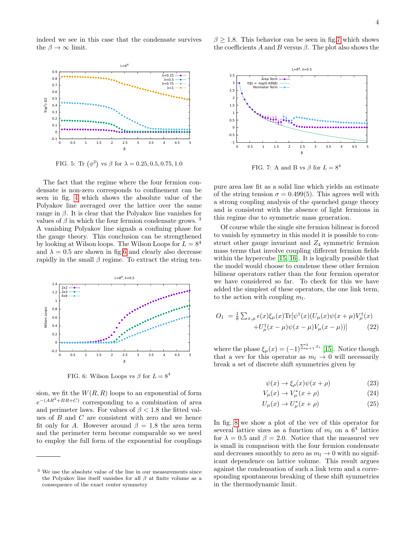indeed we see in this case that the condensate survives the  $\beta \to \infty$  limit.



<span id="page-3-0"></span>FIG. 5: Tr  $(\phi^2)$  vs  $\beta$  for  $\lambda = 0.25, 0.5, 0.75, 1.0$ 

The fact that the regime where the four fermion condensate is non-zero corresponds to confinement can be seen in fig. [4](#page-2-3) which shows the absolute value of the Polyakov line averaged over the lattice over the same range in  $\beta$ . It is clear that the Polyakov line vanishes for values of  $\beta$  in which the four fermion condensate grows. <sup>3</sup> A vanishing Polyakov line signals a confining phase for the gauge theory. This conclusion can be strengthened by looking at Wilson loops. The Wilson Loops for  $L = 8^4$ and  $\lambda = 0.5$  are shown in fig[.6](#page-3-1) and clearly also decrease rapidly in the small  $\beta$  regime. To extract the string ten-



<span id="page-3-1"></span>FIG. 6: Wilson Loops vs  $\beta$  for  $L = 8^4$ 

sion, we fit the  $W(R, R)$  loops to an exponential of form  $e^{-(AR^2+BR+C)}$  corresponding to a combination of area and perimeter laws. For values of  $\beta$  < 1.8 the fitted values of B and C are consistent with zero and we hence fit only for A. However around  $\beta = 1.8$  the area term and the perimeter term become comparable so we need to employ the full form of the exponential for couplings



 $\beta \geq 1.8$ . This behavior can be seen in fig[.7](#page-3-2) which shows the coefficients A and B versus  $\beta$ . The plot also shows the

<span id="page-3-2"></span>FIG. 7: A and B vs  $\beta$  for  $L = 8^4$ 

β

pure area law fit as a solid line which yields an estimate of the string tension  $\sigma = 0.499(5)$ . This agrees well with a strong coupling analysis of the quenched gauge theory and is consistent with the absence of light fermions in this regime due to symmetric mass generation.

Of course while the single site fermion bilinear is forced to vanish by symmetry in this model it is possible to construct other gauge invariant and  $Z_4$  symmetric fermion mass terms that involve coupling different fermion fields within the hypercube [\[15,](#page-4-9) [16\]](#page-4-10). It is logically possible that the model would choose to condense these other fermion bilinear operators rather than the four fermion operator we have considered so far. To check for this we have added the simplest of these operators, the one link term, to the action with coupling  $m_l$ .

$$
O_1 = \frac{1}{8} \sum_{x,\mu} \epsilon(x) \xi_{\mu}(x) \text{Tr}[\psi^{\dagger}(x) (U_{\mu}(x)\psi(x+\mu) V_{\mu}^{\dagger}(x) + U_{\mu}^{\dagger}(x-\mu)\psi(x-\mu) V_{\mu}(x-\mu))]
$$
(22)

where the phase  $\xi_{\mu}(x) = (-1)^{\sum_{\mu=1}^{4} x_i}$  [\[15\]](#page-4-9). Notice though that a vev for this operator as  $m_l \to 0$  will necessarily break a set of discrete shift symmetries given by

$$
\psi(x) \to \xi_{\rho}(x)\psi(x+\rho) \tag{23}
$$

$$
V_{\mu}(x) \to V_{\mu}^*(x+\rho) \tag{24}
$$

$$
U_{\mu}(x) \to U_{\mu}^*(x+\rho) \tag{25}
$$

In fig. [8](#page-4-11) we show a plot of the vev of this operator for several lattice sizes as a function of  $m_l$  on a  $6^4$  lattice for  $\lambda = 0.5$  and  $\beta = 2.0$ . Notice that the measured vev is small in comparison with the four fermion condensate and decreases smoothly to zero as  $m_l \to 0$  with no significant dependence on lattice volume. This result argues against the condensation of such a link term and a corresponding spontaneous breaking of these shift symmetries in the thermodynamic limit.

<sup>3</sup> We use the absolute value of the line in our measurements since the Polyakov line itself vanishes for all  $\beta$  at finite volume as a consequence of the exact center symmetry